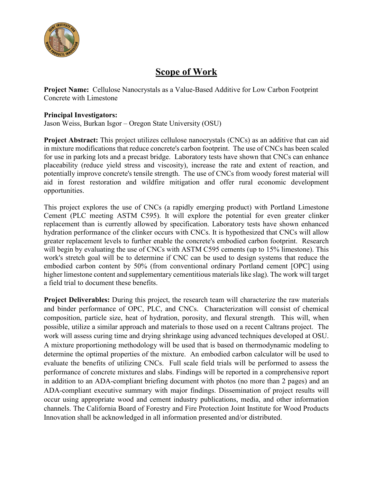

# **Scope of Work**

**Project Name:** Cellulose Nanocrystals as a Value-Based Additive for Low Carbon Footprint Concrete with Limestone

## **Principal Investigators:**

Jason Weiss, Burkan Isgor – Oregon State University (OSU)

**Project Abstract:** This project utilizes cellulose nanocrystals (CNCs) as an additive that can aid in mixture modifications that reduce concrete's carbon footprint. The use of CNCs has been scaled for use in parking lots and a precast bridge. Laboratory tests have shown that CNCs can enhance placeability (reduce yield stress and viscosity), increase the rate and extent of reaction, and potentially improve concrete's tensile strength. The use of CNCs from woody forest material will aid in forest restoration and wildfire mitigation and offer rural economic development opportunities.

This project explores the use of CNCs (a rapidly emerging product) with Portland Limestone Cement (PLC meeting ASTM C595). It will explore the potential for even greater clinker replacement than is currently allowed by specification. Laboratory tests have shown enhanced hydration performance of the clinker occurs with CNCs. It is hypothesized that CNCs will allow greater replacement levels to further enable the concrete's embodied carbon footprint. Research will begin by evaluating the use of CNCs with ASTM C595 cements (up to 15% limestone). This work's stretch goal will be to determine if CNC can be used to design systems that reduce the embodied carbon content by 50% (from conventional ordinary Portland cement [OPC] using higher limestone content and supplementary cementitious materials like slag). The work will target a field trial to document these benefits.

**Project Deliverables:** During this project, the research team will characterize the raw materials and binder performance of OPC, PLC, and CNCs. Characterization will consist of chemical composition, particle size, heat of hydration, porosity, and flexural strength. This will, when possible, utilize a similar approach and materials to those used on a recent Caltrans project. The work will assess curing time and drying shrinkage using advanced techniques developed at OSU. A mixture proportioning methodology will be used that is based on thermodynamic modeling to determine the optimal properties of the mixture. An embodied carbon calculator will be used to evaluate the benefits of utilizing CNCs. Full scale field trials will be performed to assess the performance of concrete mixtures and slabs. Findings will be reported in a comprehensive report in addition to an ADA-compliant briefing document with photos (no more than 2 pages) and an ADA-compliant executive summary with major findings. Dissemination of project results will occur using appropriate wood and cement industry publications, media, and other information channels. The California Board of Forestry and Fire Protection Joint Institute for Wood Products Innovation shall be acknowledged in all information presented and/or distributed.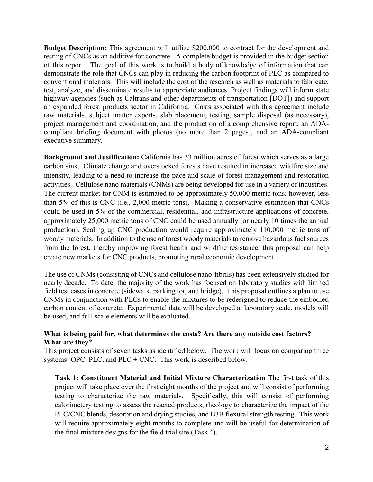**Budget Description:** This agreement will utilize \$200,000 to contract for the development and testing of CNCs as an additive for concrete. A complete budget is provided in the budget section of this report. The goal of this work is to build a body of knowledge of information that can demonstrate the role that CNCs can play in reducing the carbon footprint of PLC as compared to conventional materials. This will include the cost of the research as well as materials to fabricate, test, analyze, and disseminate results to appropriate audiences. Project findings will inform state highway agencies (such as Caltrans and other departments of transportation [DOT]) and support an expanded forest products sector in California. Costs associated with this agreement include raw materials, subject matter experts, slab placement, testing, sample disposal (as necessary), project management and coordination, and the production of a comprehensive report, an ADAcompliant briefing document with photos (no more than 2 pages), and an ADA-compliant executive summary.

**Background and Justification:** California has 33 million acres of forest which serves as a large carbon sink. Climate change and overstocked forests have resulted in increased wildfire size and intensity, leading to a need to increase the pace and scale of forest management and restoration activities. Cellulose nano materials (CNMs) are being developed for use in a variety of industries. The current market for CNM is estimated to be approximately 50,000 metric tons; however, less than 5% of this is CNC (i.e., 2,000 metric tons). Making a conservative estimation that CNCs could be used in 5% of the commercial, residential, and infrastructure applications of concrete, approximately 25,000 metric tons of CNC could be used annually (or nearly 10 times the annual production). Scaling up CNC production would require approximately 110,000 metric tons of woody materials. In addition to the use of forest woody materials to remove hazardous fuel sources from the forest, thereby improving forest health and wildfire resistance, this proposal can help create new markets for CNC products, promoting rural economic development.

The use of CNMs (consisting of CNCs and cellulose nano-fibrils) has been extensively studied for nearly decade. To date, the majority of the work has focused on laboratory studies with limited field test cases in concrete (sidewalk, parking lot, and bridge). This proposal outlines a plan to use CNMs in conjunction with PLCs to enable the mixtures to be redesigned to reduce the embodied carbon content of concrete. Experimental data will be developed at laboratory scale, models will be used, and full-scale elements will be evaluated.

## **What is being paid for, what determines the costs? Are there any outside cost factors? What are they?**

This project consists of seven tasks as identified below. The work will focus on comparing three systems: OPC, PLC, and PLC + CNC. This work is described below.

**Task 1: Constituent Material and Initial Mixture Characterization** The first task of this project will take place over the first eight months of the project and will consist of performing testing to characterize the raw materials. Specifically, this will consist of performing calorimetery testing to assess the reacted products, rheology to characterize the impact of the PLC/CNC blends, desorption and drying studies, and B3B flexural strength testing. This work will require approximately eight months to complete and will be useful for determination of the final mixture designs for the field trial site (Task 4).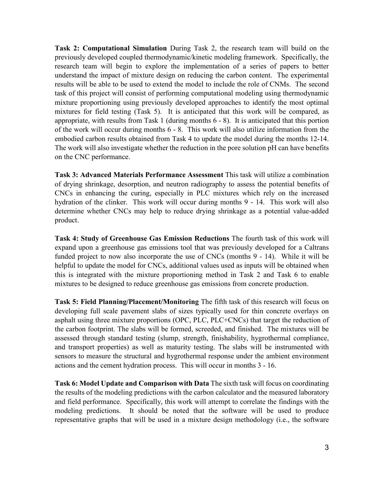**Task 2: Computational Simulation** During Task 2, the research team will build on the previously developed coupled thermodynamic/kinetic modeling framework. Specifically, the research team will begin to explore the implementation of a series of papers to better understand the impact of mixture design on reducing the carbon content. The experimental results will be able to be used to extend the model to include the role of CNMs. The second task of this project will consist of performing computational modeling using thermodynamic mixture proportioning using previously developed approaches to identify the most optimal mixtures for field testing (Task 5). It is anticipated that this work will be compared, as appropriate, with results from Task 1 (during months 6 - 8). It is anticipated that this portion of the work will occur during months 6 - 8. This work will also utilize information from the embodied carbon results obtained from Task 4 to update the model during the months 12-14. The work will also investigate whether the reduction in the pore solution pH can have benefits on the CNC performance.

**Task 3: Advanced Materials Performance Assessment** This task will utilize a combination of drying shrinkage, desorption, and neutron radiography to assess the potential benefits of CNCs in enhancing the curing, especially in PLC mixtures which rely on the increased hydration of the clinker. This work will occur during months 9 - 14. This work will also determine whether CNCs may help to reduce drying shrinkage as a potential value-added product.

**Task 4: Study of Greenhouse Gas Emission Reductions** The fourth task of this work will expand upon a greenhouse gas emissions tool that was previously developed for a Caltrans funded project to now also incorporate the use of CNCs (months 9 - 14). While it will be helpful to update the model for CNCs, additional values used as inputs will be obtained when this is integrated with the mixture proportioning method in Task 2 and Task 6 to enable mixtures to be designed to reduce greenhouse gas emissions from concrete production.

**Task 5: Field Planning/Placement/Monitoring** The fifth task of this research will focus on developing full scale pavement slabs of sizes typically used for thin concrete overlays on asphalt using three mixture proportions (OPC, PLC, PLC+CNCs) that target the reduction of the carbon footprint. The slabs will be formed, screeded, and finished. The mixtures will be assessed through standard testing (slump, strength, finishability, hygrothermal compliance, and transport properties) as well as maturity testing. The slabs will be instrumented with sensors to measure the structural and hygrothermal response under the ambient environment actions and the cement hydration process. This will occur in months 3 - 16.

**Task 6: Model Update and Comparison with Data** The sixth task will focus on coordinating the results of the modeling predictions with the carbon calculator and the measured laboratory and field performance. Specifically, this work will attempt to correlate the findings with the modeling predictions. It should be noted that the software will be used to produce representative graphs that will be used in a mixture design methodology (i.e., the software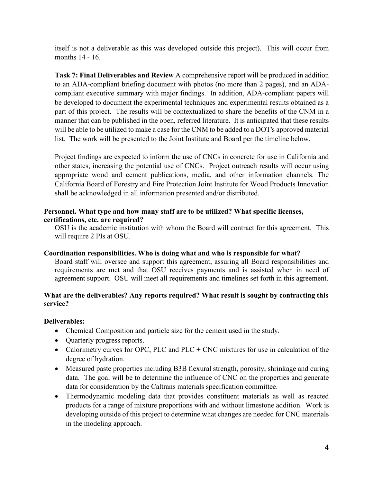itself is not a deliverable as this was developed outside this project). This will occur from months 14 - 16.

**Task 7: Final Deliverables and Review** A comprehensive report will be produced in addition to an ADA-compliant briefing document with photos (no more than 2 pages), and an ADAcompliant executive summary with major findings. In addition, ADA-compliant papers will be developed to document the experimental techniques and experimental results obtained as a part of this project. The results will be contextualized to share the benefits of the CNM in a manner that can be published in the open, referred literature. It is anticipated that these results will be able to be utilized to make a case for the CNM to be added to a DOT's approved material list. The work will be presented to the Joint Institute and Board per the timeline below.

Project findings are expected to inform the use of CNCs in concrete for use in California and other states, increasing the potential use of CNCs. Project outreach results will occur using appropriate wood and cement publications, media, and other information channels. The California Board of Forestry and Fire Protection Joint Institute for Wood Products Innovation shall be acknowledged in all information presented and/or distributed.

## **Personnel. What type and how many staff are to be utilized? What specific licenses, certifications, etc. are required?**

OSU is the academic institution with whom the Board will contract for this agreement. This will require 2 PIs at OSU.

# **Coordination responsibilities. Who is doing what and who is responsible for what?**

Board staff will oversee and support this agreement, assuring all Board responsibilities and requirements are met and that OSU receives payments and is assisted when in need of agreement support. OSU will meet all requirements and timelines set forth in this agreement.

## **What are the deliverables? Any reports required? What result is sought by contracting this service?**

# **Deliverables:**

- Chemical Composition and particle size for the cement used in the study.
- Quarterly progress reports.
- Calorimetry curves for OPC, PLC and PLC + CNC mixtures for use in calculation of the degree of hydration.
- Measured paste properties including B3B flexural strength, porosity, shrinkage and curing data. The goal will be to determine the influence of CNC on the properties and generate data for consideration by the Caltrans materials specification committee.
- Thermodynamic modeling data that provides constituent materials as well as reacted products for a range of mixture proportions with and without limestone addition. Work is developing outside of this project to determine what changes are needed for CNC materials in the modeling approach.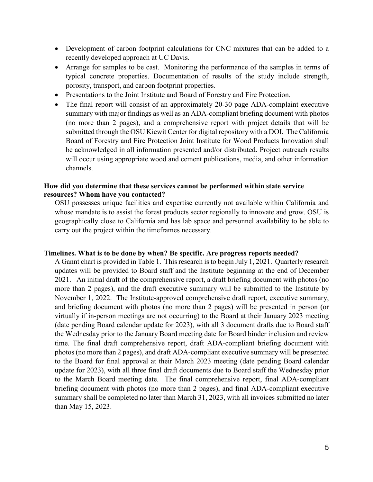- Development of carbon footprint calculations for CNC mixtures that can be added to a recently developed approach at UC Davis.
- Arrange for samples to be cast. Monitoring the performance of the samples in terms of typical concrete properties. Documentation of results of the study include strength, porosity, transport, and carbon footprint properties.
- Presentations to the Joint Institute and Board of Forestry and Fire Protection.
- The final report will consist of an approximately 20-30 page ADA-complaint executive summary with major findings as well as an ADA-compliant briefing document with photos (no more than 2 pages), and a comprehensive report with project details that will be submitted through the OSU Kiewit Center for digital repository with a DOI. The California Board of Forestry and Fire Protection Joint Institute for Wood Products Innovation shall be acknowledged in all information presented and/or distributed. Project outreach results will occur using appropriate wood and cement publications, media, and other information channels.

## **How did you determine that these services cannot be performed within state service resources? Whom have you contacted?**

OSU possesses unique facilities and expertise currently not available within California and whose mandate is to assist the forest products sector regionally to innovate and grow. OSU is geographically close to California and has lab space and personnel availability to be able to carry out the project within the timeframes necessary.

#### **Timelines. What is to be done by when? Be specific. Are progress reports needed?**

A Gannt chart is provided in Table 1. This research is to begin July 1, 2021. Quarterly research updates will be provided to Board staff and the Institute beginning at the end of December 2021. An initial draft of the comprehensive report, a draft briefing document with photos (no more than 2 pages), and the draft executive summary will be submitted to the Institute by November 1, 2022. The Institute-approved comprehensive draft report, executive summary, and briefing document with photos (no more than 2 pages) will be presented in person (or virtually if in-person meetings are not occurring) to the Board at their January 2023 meeting (date pending Board calendar update for 2023), with all 3 document drafts due to Board staff the Wednesday prior to the January Board meeting date for Board binder inclusion and review time. The final draft comprehensive report, draft ADA-compliant briefing document with photos (no more than 2 pages), and draft ADA-compliant executive summary will be presented to the Board for final approval at their March 2023 meeting (date pending Board calendar update for 2023), with all three final draft documents due to Board staff the Wednesday prior to the March Board meeting date. The final comprehensive report, final ADA-compliant briefing document with photos (no more than 2 pages), and final ADA-compliant executive summary shall be completed no later than March 31, 2023, with all invoices submitted no later than May 15, 2023.